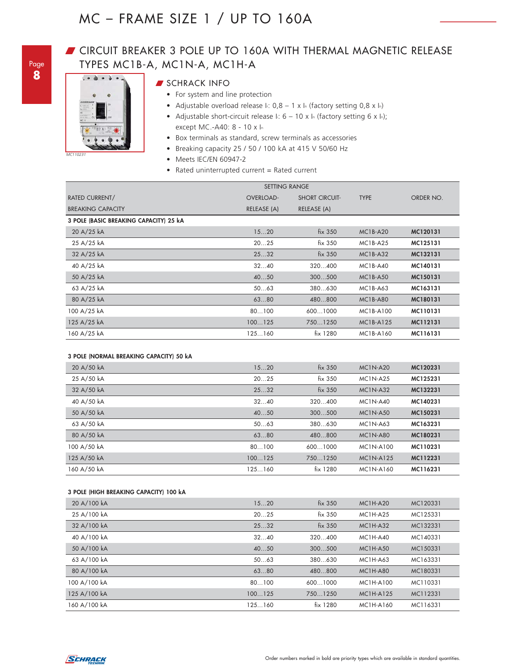### **JOURGIST BREAKER 3 POLE UP TO 160A WITH THERMAL MAGNETIC RELEASE** TYPES MC1B-A, MC1N-A, MC1H-A



#### **SCHRACK INFO**

- For system and line protection
- Adjustable overload release  $I: 0,8 1 \times I_n$  (factory setting 0,8 x l<sub>n</sub>)
- Adjustable short-circuit release  $\ln 6 10 \times \ln$  (factory setting 6 x ln); except MC.-A40: 8 - 10 x In
- Box terminals as standard, screw terminals as accessories
- Breaking capacity 25 / 50 / 100 kA at 415 V 50/60 Hz
- Meets IEC/EN 60947-2
- Rated uninterrupted current = Rated current

| <b>SETTING RANGE</b>                   |                  |                       |                  |           |
|----------------------------------------|------------------|-----------------------|------------------|-----------|
| RATED CURRENT/                         | <b>OVERLOAD-</b> | <b>SHORT CIRCUIT-</b> | <b>TYPE</b>      | ORDER NO. |
| <b>BREAKING CAPACITY</b>               | RELEASE (A)      | RELEASE (A)           |                  |           |
| 3 POLE (BASIC BREAKING CAPACITY) 25 kA |                  |                       |                  |           |
| 20 A/25 kA                             | 1520             | fix 350               | <b>MC1B-A20</b>  | MC120131  |
| 25 A/25 kA                             | 2025             | fix 350               | $MC1B- A25$      | MC125131  |
| 32 A/25 kA                             | 2532             | fix 350               | $MC1B- A32$      | MC132131  |
| 40 A/25 kA                             | 3240             | 320400                | $MC1B-AA0$       | MC140131  |
| 50 A/25 kA                             | 4050             | 300500                | <b>MC1B-A50</b>  | MC150131  |
| 63 A/25 kA                             | 5063             | 380630                | <b>MC1B-A63</b>  | MC163131  |
| 80 A/25 kA                             | 6380             | 480800                | <b>MC1B-A80</b>  | MC180131  |
| 100 A/25 kA                            | 80100            | 6001000               | MC1B-A100        | MC110131  |
| 125 A/25 kA                            | 100125           | 7501250               | <b>MC1B-A125</b> | MC112131  |
| 160 A/25 kA                            | 125160           | fix 1280              | MC1B-A160        | MC116131  |

#### **3 POLE (NORMAL BREAKING CAPACITY) 50 kA**

| 20 A/50 kA  | 1520   | fix 350  | <b>MC1N-A20</b> | MC120231 |
|-------------|--------|----------|-----------------|----------|
| 25 A/50 kA  | 2025   | fix 350  | <b>MC1N-A25</b> | MC125231 |
| 32 A/50 kA  | 2532   | fix 350  | $MC1N-A32$      | MC132231 |
| 40 A/50 kA  | 3240   | 320400   | <b>MC1N-A40</b> | MC140231 |
| 50 A/50 kA  | 4050   | 300500   | <b>MC1N-A50</b> | MC150231 |
| 63 A/50 kA  | 5063   | 380630   | <b>MC1N-A63</b> | MC163231 |
| 80 A/50 kA  | 6380   | 480.800  | <b>MC1N-A80</b> | MC180231 |
| 100 A/50 kA | 80100  | 6001000  | MC1N-A100       | MC110231 |
| 125 A/50 kA | 100125 | 7501250  | MC1N-A125       | MC112231 |
| 160 A/50 kA | 125160 | fix 1280 | MC1N-A160       | MC116231 |

#### **3 POLE (HIGH BREAKING CAPACITY) 100 kA**

| 20 A/100 kA  | 1520   | fix 350    | <b>MC1H-A20</b> | MC120331 |
|--------------|--------|------------|-----------------|----------|
| 25 A/100 kA  | 2025   | fix 350    | $MC1H-A25$      | MC125331 |
| 32 A/100 kA  | 2532   | fix 350    | $MC1H-A32$      | MC132331 |
| 40 A/100 kA  | 3240   | 320400     | $MC1H-A40$      | MC140331 |
| 50 A/100 kA  | 4050   | 300500     | <b>MC1H-A50</b> | MC150331 |
| 63 A/100 kA  | 5063   | 380630     | <b>MC1H-A63</b> | MC163331 |
| 80 A/100 kA  | 6380   | 480800     | <b>MC1H-A80</b> | MC180331 |
| 100 A/100 kA | 80100  | 6001000    | MC1H-A100       | MC110331 |
| 125 A/100 kA | 100125 | 7501250    | MC1H-A125       | MC112331 |
| 160 A/100 kA | 125160 | $fix$ 1280 | MC1H-A160       | MC116331 |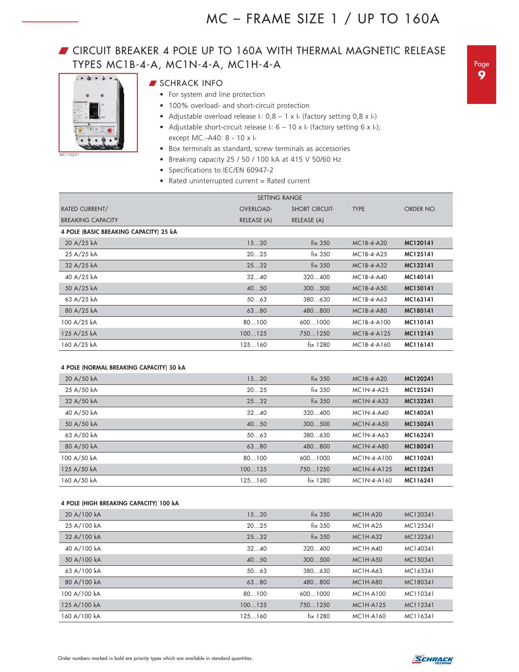### **JOURGIST CIRCUIT BREAKER 4 POLE UP TO 160A WITH THERMAL MAGNETIC RELEASE** TYPES MC1B-4-A, MC1N-4-A, MC1H-4-A



*MC110231*

- $\blacksquare$  SCHRACK INFO
	- For system and line protection
		- 100% overload- and short-circuit protection
		- Adjustable overload release  $I: 0,8 1 \times I$ <sub>n</sub> (factory setting 0,8 x I<sub>n</sub>)
	- Adjustable short-circuit release  $\ln 6 10 \times \ln$  (factory setting 6 x ln); except MC.-A40: 8 - 10 x In
	- Box terminals as standard, screw terminals as accessories
	- Breaking capacity 25 / 50 / 100 kA at 415 V 50/60 Hz
	- Specifications to IEC/EN 60947-2
	- Rated uninterrupted current = Rated current

|                                        | <b>SETTING RANGE</b> |                       |               |           |  |
|----------------------------------------|----------------------|-----------------------|---------------|-----------|--|
| RATED CURRENT/                         | <b>OVERLOAD-</b>     | <b>SHORT CIRCUIT-</b> | <b>TYPE</b>   | ORDER NO. |  |
| <b>BREAKING CAPACITY</b>               | RELEASE (A)          | RELEASE (A)           |               |           |  |
| 4 POLE (BASIC BREAKING CAPACITY) 25 kA |                      |                       |               |           |  |
| 20 A/25 kA                             | 1520                 | fix 350               | $MC1B-4- A20$ | MC120141  |  |
| 25 A/25 kA                             | 2025                 | fix 350               | MC1B-4-A25    | MC125141  |  |
| 32 A/25 kA                             | 2532                 | fix 350               | MC1B-4-A32    | MC132141  |  |
| 40 A/25 kA                             | 3240                 | 320400                | $MC1B-4-AA0$  | MC140141  |  |
| 50 A/25 kA                             | 4050                 | 300500                | $MC1B-4-AS0$  | MC150141  |  |
| 63 A/25 kA                             | 5063                 | 380630                | MC1B-4-A63    | MC163141  |  |
| 80 A/25 kA                             | 6380                 | 480800                | MC1B-4-A80    | MC180141  |  |
| 100 A/25 kA                            | 80100                | 6001000               | MC1B-4-A100   | MC110141  |  |
| 125 A/25 kA                            | 100125               | 7501250               | MC1B-4-A125   | MC112141  |  |
| 160 A/25 kA                            | 125160               | fix 1280              | MC1B-4-A160   | MC116141  |  |

#### **4 POLE (NORMAL BREAKING CAPACITY) 50 kA**

| 20 A/50 kA  | 1520   | fix 350    | $MC1B-4- A20$ | MC120241 |
|-------------|--------|------------|---------------|----------|
| 25 A/50 kA  | 2025   | fix 350    | MC1N-4-A25    | MC125241 |
| 32 A/50 kA  | 2532   | $fix$ 350  | MC1N-4-A32    | MC132241 |
| 40 A/50 kA  | 3240   | 320400     | $MC1N-4-AA0$  | MC140241 |
| 50 A/50 kA  | 4050   | 300500     | $MC1N-4-AS0$  | MC150241 |
| 63 A/50 kA  | 5063   | 380.630    | MC1N-4-A63    | MC163241 |
| 80 A/50 kA  | 6380   | 480.800    | MC1N-4-A80    | MC180241 |
| 100 A/50 kA | 80100  | 6001000    | MC1N-4-A100   | MC110241 |
| 125 A/50 kA | 100125 | 7501250    | MC1N-4-A125   | MC112241 |
| 160 A/50 kA | 125160 | $fix$ 1280 | MC1N-4-A160   | MC116241 |
|             |        |            |               |          |

#### **4 POLE (HIGH BREAKING CAPACITY) 100 kA**

| 20 A/100 kA  | 1520   | fix 350   | <b>MC1H-A20</b> | MC120341 |  |
|--------------|--------|-----------|-----------------|----------|--|
| 25 A/100 kA  | 2025   | fix 350   | $MC1H-A25$      | MC125341 |  |
| 32 A/100 kA  | 2532   | $fix$ 350 | $MC1H-A32$      | MC132341 |  |
| 40 A/100 kA  | 3240   | 320400    | <b>MC1H-A40</b> | MC140341 |  |
| 50 A/100 kA  | 4050   | 300500    | <b>MC1H-A50</b> | MC150341 |  |
| 63 A/100 kA  | 5063   | 380630    | MC1H-A63        | MC163341 |  |
| 80 A/100 kA  | 6380   | 480.800   | <b>MC1H-A80</b> | MC180341 |  |
| 100 A/100 kA | 80100  | 6001000   | MC1H-A100       | MC110341 |  |
| 125 A/100 kA | 100125 | 7501250   | MC1H-A125       | MC112341 |  |
| 160 A/100 kA | 125160 | fix 1280  | MC1H-A160       | MC116341 |  |
|              |        |           |                 |          |  |

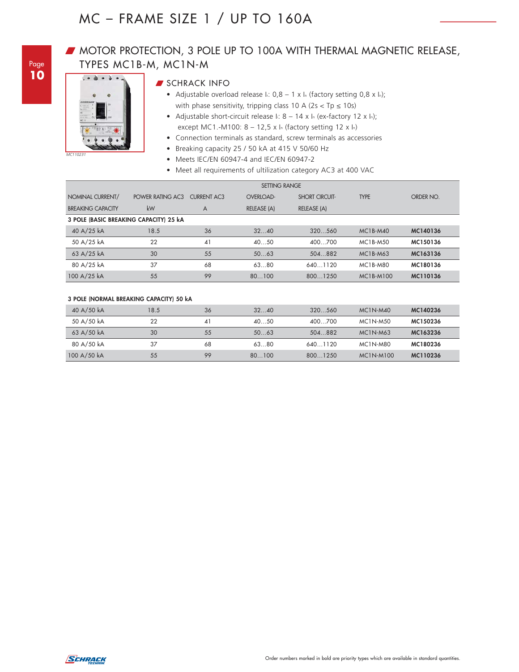### **W** MOTOR PROTECTION, 3 POLE UP TO 100A WITH THERMAL MAGNETIC RELEASE, TYPES MC1B-M, MC1N-M



#### **SCHRACK INFO**

- Adjustable overload release  $I: 0,8 1 \times I_n$  (factory setting 0,8 x ln); with phase sensitivity, tripping class 10 A ( $2s < Tp \le 10s$ )
- Adjustable short-circuit release  $\ln 8 14 \times \ln$  (ex-factory 12 x  $\ln$ ); except MC1.-M100:  $8 - 12,5 \times I_n$  (factory setting 12 x l<sub>n</sub>)
- Connection terminals as standard, screw terminals as accessories
- Breaking capacity 25 / 50 kA at 415 V 50/60 Hz
- Meets IEC/EN 60947-4 and IEC/EN 60947-2
- Meet all requirements of ultilization category AC3 at 400 VAC

|                                        | <b>SETTING RANGE</b> |                    |                  |                       |                 |           |
|----------------------------------------|----------------------|--------------------|------------------|-----------------------|-----------------|-----------|
| NOMINAL CURRENT/                       | POWER RATING AC3     | <b>CURRENT AC3</b> | <b>OVERLOAD-</b> | <b>SHORT CIRCUIT-</b> | <b>TYPE</b>     | ORDER NO. |
| <b>BREAKING CAPACITY</b>               | kW                   | A                  | RELEASE (A)      | RELEASE (A)           |                 |           |
| 3 POLE (BASIC BREAKING CAPACITY) 25 kA |                      |                    |                  |                       |                 |           |
| 40 A/25 kA                             | 18.5                 | 36                 | 3240             | 320560                | $MC1B-M40$      | MC140136  |
| 50 A/25 kA                             | 22                   | 41                 | 4050             | 400700                | MC1B-M50        | MC150136  |
| 63 A/25 kA                             | 30                   | 55                 | 5063             | 504.882               | MC1B-M63        | MC163136  |
| 80 A/25 kA                             | 37                   | 68                 | 6380             | 6401120               | <b>MC1B-M80</b> | MC180136  |
| 100 A/25 kA                            | 55                   | 99                 | 80100            | 8001250               | MC1B-M100       | MC110136  |

#### **3 POLE (NORMAL BREAKING CAPACITY) 50 kA**

| 40 A/50 kA  | 18.5 | 36 | 3240  | 320560  | $MC1N-M40$      | MC140236 |
|-------------|------|----|-------|---------|-----------------|----------|
| 50 A/50 kA  | 22   | 41 | 4050  | 400700  | <b>MC1N-M50</b> | MC150236 |
| 63 A/50 kA  | 30   | 55 | 5063  | 504.882 | $MC1N-M63$      | MC163236 |
| 80 A/50 kA  | 37   | 68 | 6380  | 6401120 | MC1N-M80        | MC180236 |
| 100 A/50 kA | 55   | 99 | 80100 | 8001250 | MC1N-M100       | MC110236 |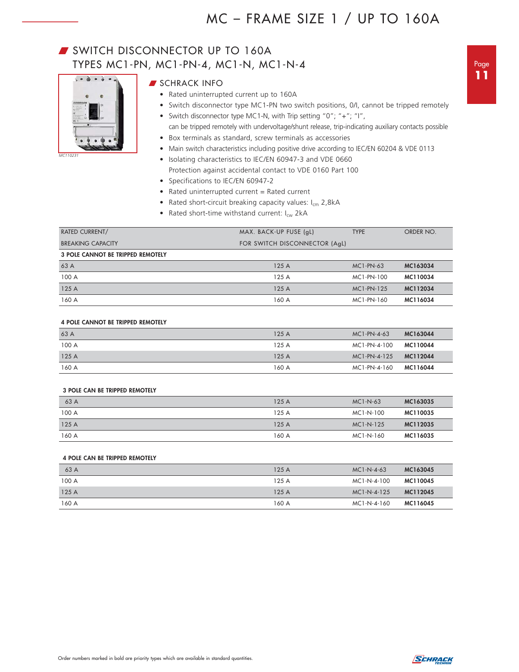### SWITCH DISCONNECTOR UP TO 160A TYPES MC1-PN, MC1-PN-4, MC1-N, MC1-N-4



*MC110231*

- **SCHRACK INFO** 
	- Rated uninterrupted current up to 160A
	- Switch disconnector type MC1-PN two switch positions, 0/I, cannot be tripped remotely
	- Switch disconnector type MC1-N, with Trip setting "0"; "+"; "I",
	- can be tripped remotely with undervoltage/shunt release, trip-indicating auxiliary contacts possible
	- Box terminals as standard, screw terminals as accessories
	- Main switch characteristics including positive drive according to IEC/EN 60204 & VDE 0113
	- Isolating characteristics to IEC/EN 60947-3 and VDE 0660
	- Protection against accidental contact to VDE 0160 Part 100
	- Specifications to IEC/EN 60947-2
	- Rated uninterrupted current = Rated current
	- Rated short-circuit breaking capacity values:  $I_{cm}$  2,8kA
	- Rated short-time withstand current:  $I_{cw}$  2kA

| <b>RATED CURRENT/</b>                    | MAX. BACK-UP FUSE (gL)        | <b>TYPE</b> | ORDER NO. |
|------------------------------------------|-------------------------------|-------------|-----------|
| <b>BREAKING CAPACITY</b>                 | FOR SWITCH DISCONNECTOR (AqL) |             |           |
| <b>3 POLE CANNOT BE TRIPPED REMOTELY</b> |                               |             |           |
| 63 A                                     | 125A                          | $MC1-PN-63$ | MC163034  |
| 100 A                                    | 125A                          | MC1-PN-100  | MC110034  |
| 125 A                                    | 125A                          | MC1-PN-125  | MC112034  |
| 160 A                                    | 160 A                         | MC1-PN-160  | MC116034  |

#### **4 POLE CANNOT BE TRIPPED REMOTELY**

| 63 A  | 125A  | $MC1-PN-4-63$ | MC163044 |
|-------|-------|---------------|----------|
| 100 A | 125A  | MC1-PN-4-100  | MC110044 |
| 125A  | 125A  | MC1-PN-4-125  | MC112044 |
| 160 A | 160 A | MC1-PN-4-160  | MC116044 |

#### **3 POLE CAN BE TRIPPED REMOTELY**

| 63 A  | 125A  | $MC1-N-63$ | MC163035 |
|-------|-------|------------|----------|
| 100 A | 125A  | MC1-N-100  | MC110035 |
| 125A  | 125A  | MC1-N-125  | MC112035 |
| 160 A | 160 A | MC1-N-160  | MC116035 |

#### **4 POLE CAN BE TRIPPED REMOTELY**

| 63 A  | 125A  | $MC1-N-4-63$  | MC163045 |
|-------|-------|---------------|----------|
| 100 A | 125A  | MC1-N-4-100   | MC110045 |
| 125A  | 125A  | $MC1-N-4-125$ | MC112045 |
| 160 A | 160 A | MC1-N-4-160   | MC116045 |

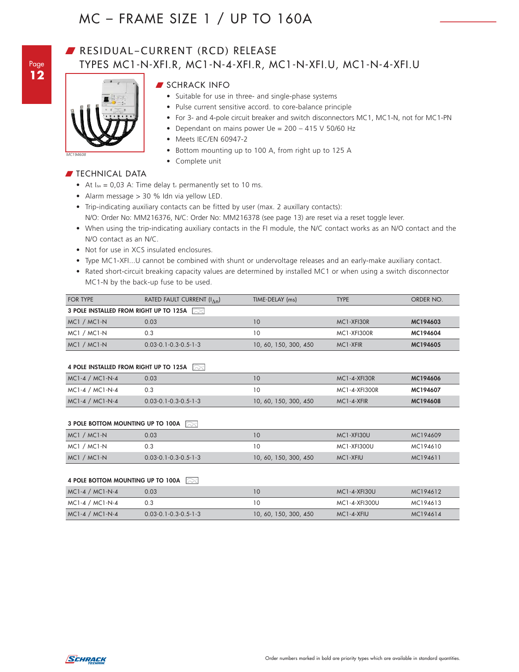Page **12**

### RESIDUAL-CURRENT (RCD) RELEASE TYPES MC1-N-XFI.R, MC1-N-4-XFI.R, MC1-N-XFI.U, MC1-N-4-XFI.U



#### **SCHRACK INFO**

- Suitable for use in three- and single-phase systems
- Pulse current sensitive accord. to core-balance principle
- For 3- and 4-pole circuit breaker and switch disconnectors MC1, MC1-N, not for MC1-PN
- Dependant on mains power Ue = 200 415 V 50/60 Hz
- Meets IEC/EN 60947-2
- Bottom mounting up to 100 A, from right up to 125 A
- Complete unit

#### $\blacksquare$  TECHNICAL DATA

- At  $I_{\Delta n} = 0.03$  A: Time delay tv permanently set to 10 ms.
- Alarm message > 30 % Idn via yellow LED.
- Trip-indicating auxiliary contacts can be fitted by user (max. 2 auxillary contacts): N/O: Order No: MM216376, N/C: Order No: MM216378 (see page 13) are reset via a reset toggle lever.
- When using the trip-indicating auxiliary contacts in the FI module, the N/C contact works as an N/O contact and the N/O contact as an N/C.
- Not for use in XCS insulated enclosures.
- Type MC1-XFI...U cannot be combined with shunt or undervoltage releases and an early-make auxiliary contact.
- Rated short-circuit breaking capacity values are determined by installed MC1 or when using a switch disconnector MC1-N by the back-up fuse to be used.

| FOR TYPE                               | RATED FAULT CURRENT $(l_{\Lambda n})$ | TIME-DELAY (ms)       | <b>TYPE</b>             | ORDER NO. |
|----------------------------------------|---------------------------------------|-----------------------|-------------------------|-----------|
| 3 POLE INSTALLED FROM RIGHT UP TO 125A |                                       |                       |                         |           |
| MC1 / MC1-N                            | 0.03                                  | 10                    | MC <sub>1</sub> -XFI30R | MC194603  |
| MC1 / MC1-N                            | 0.3                                   | 10                    | MC1-XFI300R             | MC194604  |
| MC1 / MC1-N                            | $0.03 - 0.1 - 0.3 - 0.5 - 1 - 3$      | 10, 60, 150, 300, 450 | MC <sub>1</sub> -XFIR   | MC194605  |

#### **4 POLE INSTALLED FROM RIGHT UP TO 125A**

| $MC1-4/MC1-N-4$   | $0.03 - 0.1 - 0.3 - 0.5 - 1 - 3$ | 10, 60, 150, 300, 450 | $MC1 - 4 - XFIR$   | MC194608 |
|-------------------|----------------------------------|-----------------------|--------------------|----------|
| $MC1-4 / MC1-N-4$ |                                  | 10                    | MC1-4-XFI300R      | MC194607 |
| $MC1-4/MC1-N-4$   | 0.03                             | 10                    | $MC1 - 4 - XFI30R$ | MC194606 |

#### **3 POLE BOTTOM MOUNTING UP TO 100A**

| MC1 / MC1-N | 0.03                             | 10                    | MC1-XFI30U            | MC194609 |
|-------------|----------------------------------|-----------------------|-----------------------|----------|
| MC1 / MC1-N |                                  | 10                    | MC1-XFI300U           | MC194610 |
| MC1 / MC1-N | $0.03 - 0.1 - 0.3 - 0.5 - 1 - 3$ | 10, 60, 150, 300, 450 | MC <sub>1</sub> -XFIU | MC194611 |

#### **4 POLE BOTTOM MOUNTING UP TO 100A**

| $MC1-4/MC1-N-4$   | 0.03                             | 10                    | $MC1 - 4 - XFI30U$ | MC194612 |
|-------------------|----------------------------------|-----------------------|--------------------|----------|
| $MC1-4 / MC1-N-4$ | 0.3                              | 10                    | MC1-4-XFI300U      | MC194613 |
| $MC1-4/MC1-N-4$   | $0.03 - 0.1 - 0.3 - 0.5 - 1 - 3$ | 10, 60, 150, 300, 450 | MC1-4-XFIU         | MC194614 |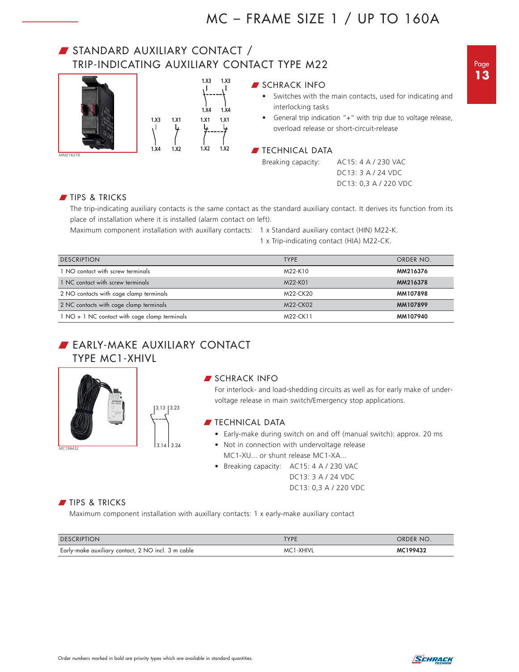### W STANDARD AUXILIARY CONTACT / TRIP-INDICATING AUXILIARY CONTACT TYPE M22



#### **SCHRACK INFO**

- Switches with the main contacts, used for indicating and interlocking tasks
- General trip indication "+" with trip due to voltage release, overload release or short-circuit-release

#### **TECHNICAL DATA**

Breaking capacity: AC15: 4 A / 230 VAC DC13: 3 A / 24 VDC DC13: 0,3 A / 220 VDC

TIPS & TRICKS

The trip-indicating auxiliary contacts is the same contact as the standard auxiliary contact. It derives its function from its place of installation where it is installed (alarm contact on left).

Maximum component installation with auxillary contacts: 1 x Standard auxiliary contact (HIN) M22-K.

1 x Trip-indicating contact (HIA) M22-CK.

| <b>DESCRIPTION</b>                            | <b>TYPE</b> | ORDER NO. |
|-----------------------------------------------|-------------|-----------|
| 1 NO contact with screw terminals             | M22-K10     | MM216376  |
| 1 NC contact with screw terminals             | M22-K01     | MM216378  |
| 2 NO contacts with cage clamp terminals       | M22-CK20    | MM107898  |
| 2 NC contacts with cage clamp terminals       | M22-CK02    | MM107899  |
| 1 NO + 1 NC contact with cage clamp terminals | M22-CK11    | MM107940  |

### **BEARLY-MAKE AUXILIARY CONTACT** TYPE MC1-XHIVL



#### **SCHRACK INFO**

For interlock- and load-shedding circuits as well as for early make of undervoltage release in main switch/Emergency stop applications.

#### $\blacksquare$  TECHNICAL DATA

- Early-make during switch on and off (manual switch): approx. 20 ms
- Not in connection with undervoltage release MC1-XU... or shunt release MC1-XA...
- Breaking capacity: AC15: 4 A / 230 VAC DC13: 3 A / 24 VDC DC13: 0,3 A / 220 VDC

#### **TIPS & TRICKS**

Maximum component installation with auxillary contacts: 1 x early-make auxiliary contact

| <b>DESCRIPTION</b>                                 | <b>TYPE</b> | ORDER NO. |
|----------------------------------------------------|-------------|-----------|
| Early-make auxiliary contact, 2 NO incl. 3 m cable | MC1-XHIVL   | MC199432  |

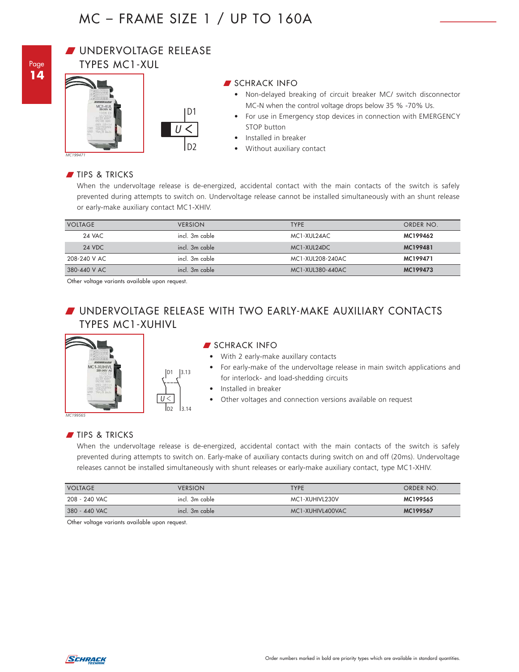

#### **WINDERVOLTAGE RELEASE** TYPES MC1-XUL





 $|3.13$ 

 $3.14$ 

#### **SCHRACK INFO**

- Non-delayed breaking of circuit breaker MC/ switch disconnector MC-N when the control voltage drops below 35 % -70% Us.
- For use in Emergency stop devices in connection with EMERGENCY STOP button
- Installed in breaker
- Without auxiliary contact

*MC199471*

#### TIPS & TRICKS

When the undervoltage release is de-energized, accidental contact with the main contacts of the switch is safely prevented during attempts to switch on. Undervoltage release cannot be installed simultaneously with an shunt release or early-make auxiliary contact MC1-XHIV.

| <b>VOLTAGE</b> | <b>VERSION</b> | <b>TYPE</b>      | ORDER NO. |
|----------------|----------------|------------------|-----------|
| 24 VAC         | incl. 3m cable | MC1-XUL24AC      | MC199462  |
| 24 VDC         | incl. 3m cable | MC1-XUL24DC      | MC199481  |
| 208-240 V AC   | incl. 3m cable | MC1-XUL208-240AC | MC199471  |
| 380-440 V AC   | incl. 3m cable | MC1-XUL380-440AC | MC199473  |

Other voltage variants available upon request.

### W UNDERVOLTAGE RELEASE WITH TWO EARLY-MAKE AUXILIARY CONTACTS TYPES MC1-XUHIVL



#### **SCHRACK INFO**

- With 2 early-make auxillary contacts
- For early-make of the undervoltage release in main switch applications and for interlock- and load-shedding circuits
- Installed in breaker
- Other voltages and connection versions available on request

*MC199565*

#### TIPS & TRICKS

When the undervoltage release is de-energized, accidental contact with the main contacts of the switch is safely prevented during attempts to switch on. Early-make of auxiliary contacts during switch on and off (20ms). Undervoltage releases cannot be installed simultaneously with shunt releases or early-make auxiliary contact, type MC1-XHIV.

| <b>VOLTAGE</b> | <b>VERSION</b> | TYPE             | ORDER NO. |
|----------------|----------------|------------------|-----------|
| 208 - 240 VAC  | incl. 3m cable | MC1-XUHIVL230V   | MC199565  |
| 380 - 440 VAC  | incl. 3m cable | MC1-XUHIVL400VAC | MC199567  |

Other voltage variants available upon request.

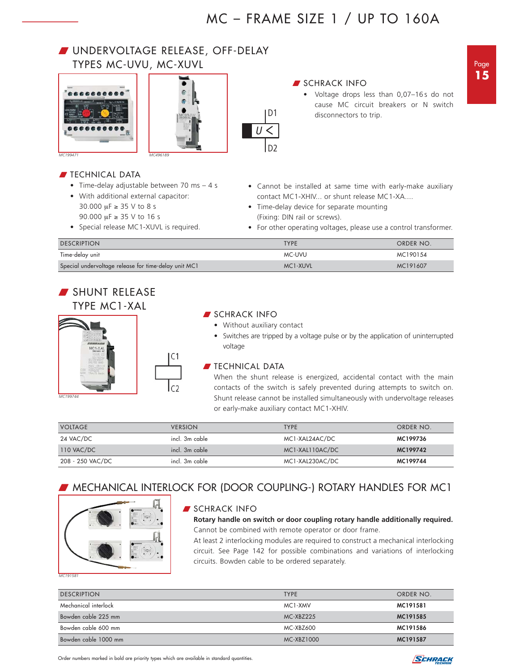### W UNDERVOLTAGE RELEASE, OFF-DELAY TYPES MC-UVU, MC-XUVL

• Time-delay adjustable between 70 ms – 4 s

• With additional external capacitor: 30.000 μF ≥ 35 V to 8 s 90.000 μF ≥ 35 V to 16 s

• Special release MC1-XUVL is required.



**TECHNICAL DATA** 



#### **SCHRACK INFO**

- Voltage drops less than 0,07-16s do not cause MC circuit breakers or N switch disconnectors to trip.
- Cannot be installed at same time with early-make auxiliary
	- contact MC1-XHIV... or shunt release MC1-XA.... • Time-delay device for separate mounting
	- (Fixing: DIN rail or screws).
	- For other operating voltages, please use a control transformer.

| <b>DESCRIPTION</b>                                   | <b>TYPF</b> | ORDER NO. |
|------------------------------------------------------|-------------|-----------|
| Time-delay unit                                      | MC-UVU      | MC190154  |
| Special undervoltage release for time-delay unit MC1 | MC1-XUVL    | MC191607  |

**D1**

 $\overline{\overline{U}}$ 

**D2**

### SHUNT RELEASE TYPE MC1-XAL



# **SCHRACK INFO**

- Without auxiliary contact
- Switches are tripped by a voltage pulse or by the application of uninterrupted voltage

#### $\blacksquare$  TECHNICAL DATA

When the shunt release is energized, accidental contact with the main contacts of the switch is safely prevented during attempts to switch on. Shunt release cannot be installed simultaneously with undervoltage releases or early-make auxiliary contact MC1-XHIV.

| <b>VOLTAGE</b>   | <b>VERSION</b> | <b>TYPE</b>     | ORDER NO. |
|------------------|----------------|-----------------|-----------|
| 24 VAC/DC        | incl. 3m cable | MC1-XAL24AC/DC  | MC199736  |
| 110 VAC/DC       | incl. 3m cable | MC1-XAL110AC/DC | MC199742  |
| 208 - 250 VAC/DC | incl. 3m cable | MC1-XAL230AC/DC | MC199744  |

### **WHECHANICAL INTERLOCK FOR (DOOR COUPLING-) ROTARY HANDLES FOR MC1**



### SCHRACK INFO

**Rotary handle on switch or door coupling rotary handle additionally required.** Cannot be combined with remote operator or door frame.

At least 2 interlocking modules are required to construct a mechanical interlocking circuit. See Page 142 for possible combinations and variations of interlocking circuits. Bowden cable to be ordered separately.

*MC191581*

| <b>DESCRIPTION</b>   | <b>TYPE</b> | ORDER NO. |
|----------------------|-------------|-----------|
| Mechanical interlock | MC1-XMV     | MC191581  |
| Bowden cable 225 mm  | MC-XBZ225   | MC191585  |
| Bowden cable 600 mm  | MC-XBZ600   | MC191586  |
| Bowden cable 1000 mm | MC-XBZ1000  | MC191587  |

Page **15**

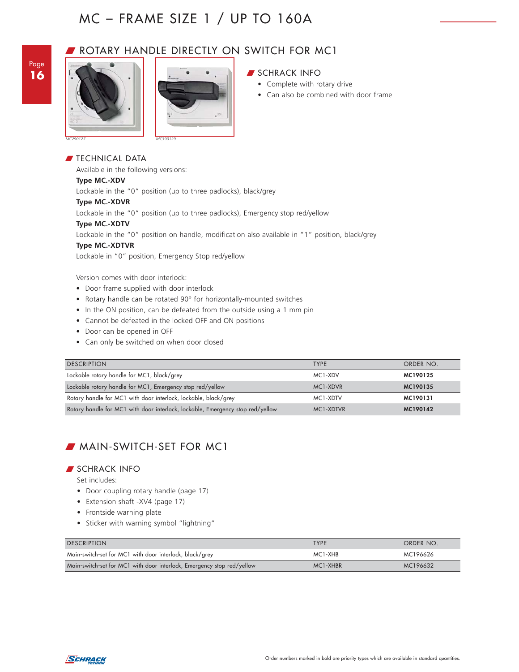

### ROTARY HANDLE DIRECTLY ON SWITCH FOR MC1





#### $\blacksquare$  TECHNICAL DATA

Available in the following versions:

#### **Type MC.-XDV**

Lockable in the "0" position (up to three padlocks), black/grey

#### **Type MC.-XDVR**

Lockable in the "0" position (up to three padlocks), Emergency stop red/yellow

#### **Type MC.-XDTV**

Lockable in the "0" position on handle, modification also available in "1" position, black/grey

#### **Type MC.-XDTVR**

Lockable in "0" position, Emergency Stop red/yellow

Version comes with door interlock:

- Door frame supplied with door interlock
- Rotary handle can be rotated 90° for horizontally-mounted switches
- In the ON position, can be defeated from the outside using a 1 mm pin
- Cannot be defeated in the locked OFF and ON positions
- Door can be opened in OFF
- Can only be switched on when door closed

| <b>DESCRIPTION</b>                                                             | <b>TYPE</b>                                    | ORDER NO. |
|--------------------------------------------------------------------------------|------------------------------------------------|-----------|
| Lockable rotary handle for MC1, black/grey                                     | MC1-XDV                                        | MC190125  |
| Lockable rotary handle for MC1, Emergency stop red/yellow                      | MC <sub>1</sub> -X <sub>D</sub> V <sub>R</sub> | MC190135  |
| Rotary handle for MC1 with door interlock, lockable, black/grey                | MC1-XDTV                                       | MC190131  |
| Rotary handle for MC1 with door interlock, lockable, Emergency stop red/yellow | MC <sub>1</sub> -XDTVR                         | MC190142  |

### **MAIN-SWITCH-SET FOR MC1**

#### W SCHRACK INFO

Set includes:

- Door coupling rotary handle (page 17)
- Extension shaft -XV4 (page 17)
- Frontside warning plate
- Sticker with warning symbol "lightning"

| <b>DESCRIPTION</b>                                                     | <b>TYPF</b>                       | ORDER NO. |
|------------------------------------------------------------------------|-----------------------------------|-----------|
| Main-switch-set for MC1 with door interlock, black/grey                | MC <sub>1</sub> -XH <sub>B</sub>  | MC196626  |
| Main-switch-set for MC1 with door interlock, Emergency stop red/yellow | MC <sub>1</sub> -XH <sub>BR</sub> | MC196632  |



- Complete with rotary drive
- Can also be combined with door frame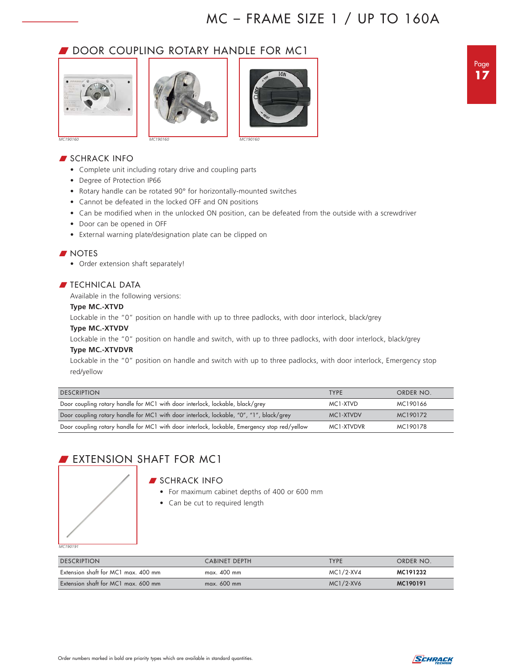### DOOR COUPLING ROTARY HANDLE FOR MC1







*MC190160*

#### **SCHRACK INFO**

- Complete unit including rotary drive and coupling parts
- Degree of Protection IP66
- Rotary handle can be rotated 90° for horizontally-mounted switches
- Cannot be defeated in the locked OFF and ON positions
- Can be modified when in the unlocked ON position, can be defeated from the outside with a screwdriver
- Door can be opened in OFF
- External warning plate/designation plate can be clipped on

#### **NOTES**

• Order extension shaft separately!

#### $\blacksquare$  TECHNICAL DATA

Available in the following versions:

#### **Type MC.-XTVD**

Lockable in the "0" position on handle with up to three padlocks, with door interlock, black/grey

#### **Type MC.-XTVDV**

Lockable in the "0" position on handle and switch, with up to three padlocks, with door interlock, black/grey

#### **Type MC.-XTVDVR**

Lockable in the "0" position on handle and switch with up to three padlocks, with door interlock, Emergency stop red/yellow

| <b>DESCRIPTION</b>                                                                           | <b>TYPE</b> | ORDER NO. |
|----------------------------------------------------------------------------------------------|-------------|-----------|
| Door coupling rotary handle for MC1 with door interlock, lockable, black/grey                | MC1-XTVD    | MC190166  |
| Door coupling rotary handle for MC1 with door interlock, lockable, "0", "1", black/grey      | MC1-XTVDV   | MC190172  |
| Door coupling rotary handle for MC1 with door interlock, lockable, Emergency stop red/yellow | MC1-XTVDVR  | MC190178  |

### **EXTENSION SHAFT FOR MC1**

#### **SCHRACK INFO**

- For maximum cabinet depths of 400 or 600 mm
- Can be cut to required length

*MC190191*

| <b>DESCRIPTION</b>                  | CABINET DEPTH | <b>TYPE</b>  | ORDER NO. |
|-------------------------------------|---------------|--------------|-----------|
| Extension shaft for MC1 max. 400 mm | $max.$ 400 mm | MC1/2-XV4    | MC191232  |
| Extension shaft for MC1 max. 600 mm | $max. 600$ mm | $MC1/2$ -XV6 | MC190191  |

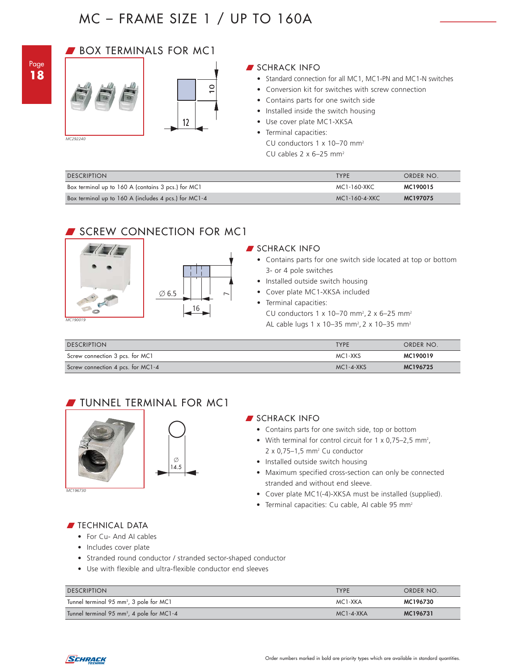### **BOX TERMINALS FOR MC1**



#### W SCHRACK INFO

- Standard connection for all MC1, MC1-PN and MC1-N switches
- Conversion kit for switches with screw connection
- Contains parts for one switch side
- Installed inside the switch housing
- Use cover plate MC1-XKSA
- Terminal capacities:
- CU conductors 1 x 10–70 mm2 CU cables  $2 \times 6-25$  mm<sup>2</sup>

| Box terminal up to 160 A (includes 4 pcs.) for MC1-4 |   |                                                                                                                                                                                                                                      | MC1-160-4-XKC                                       | MC197075  |
|------------------------------------------------------|---|--------------------------------------------------------------------------------------------------------------------------------------------------------------------------------------------------------------------------------------|-----------------------------------------------------|-----------|
| Box terminal up to 160 A (contains 3 pcs.) for MC1   |   |                                                                                                                                                                                                                                      | MC1-160-XKC                                         | MC190015  |
| <b>DESCRIPTION</b>                                   |   |                                                                                                                                                                                                                                      | <b>TYPE</b>                                         | ORDER NO. |
| MC292240                                             |   | • Contains parts for one switch side<br>• Installed inside the switch housing<br>• Use cover plate MC1-XKSA<br>• Terminal capacities:<br>CU conductors $1 \times 10-70$ mm <sup>2</sup><br>CU cables $2 \times 6-25$ mm <sup>2</sup> | • Conversion kit for switches with screw connection |           |
|                                                      | 0 |                                                                                                                                                                                                                                      |                                                     |           |

### SCREW CONNECTION FOR MC1

 $16$ 



#### **SCHRACK INFO**

- Contains parts for one switch side located at top or bottom 3- or 4 pole switches
- Installed outside switch housing
- Cover plate MC1-XKSA included
- Terminal capacities:

CU conductors 1 x 10–70 mm<sup>2</sup>, 2 x 6–25 mm<sup>2</sup>

AL cable lugs 1 x 10–35 mm<sup>2</sup>, 2 x 10–35 mm<sup>2</sup>

| <b>DESCRIPTION</b>                | <b>TYPE</b>     | ORDER NO. |
|-----------------------------------|-----------------|-----------|
| Screw connection 3 pcs. for MC1   | MC1-XKS         | MC190019  |
| Screw connection 4 pcs. for MC1-4 | $MC1 - 4 - XKS$ | MC196725  |

### **TUNNEL TERMINAL FOR MC1**



*MC196730*

#### **SCHRACK INFO**

- Contains parts for one switch side, top or bottom
- With terminal for control circuit for  $1 \times 0.75 2.5$  mm<sup>2</sup>.  $2 \times 0.75 - 1.5$  mm<sup>2</sup> Cu conductor
- Installed outside switch housing
- Maximum specified cross-section can only be connected stranded and without end sleeve.
- Cover plate MC1(-4)-XKSA must be installed (supplied).
- Terminal capacities: Cu cable, AI cable 95 mm<sup>2</sup>

#### **FIECHNICAL DATA**

- For Cu- And AI cables
- Includes cover plate
- Stranded round conductor / stranded sector-shaped conductor
- Use with flexible and ultra-flexible conductor end sleeves

| <b>DESCRIPTION</b>                                    | <b>TYPE</b>     | ORDER NO. |
|-------------------------------------------------------|-----------------|-----------|
| Tunnel terminal 95 mm <sup>2</sup> , 3 pole for MC1   | MC1-XKA         | MC196730  |
| Tunnel terminal 95 mm <sup>2</sup> , 4 pole for MC1-4 | $MC1 - 4 - XKA$ | MC196731  |

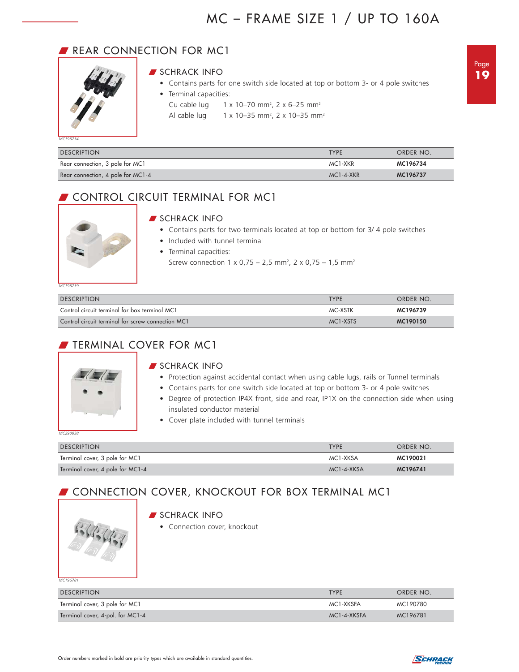### REAR CONNECTION FOR MC1



#### **SCHRACK INFO**

- Contains parts for one switch side located at top or bottom 3- or 4 pole switches
- Terminal capacities:
	- Cu cable lug 1 x 10–70 mm<sup>2</sup>, 2 x 6–25 mm<sup>2</sup>
- Al cable lug  $1 \times 10 35$  mm<sup>2</sup>, 2 x 10-35 mm<sup>2</sup>

*MC196734*

| <b>DESCRIPTION</b>                | <b>TYPE</b>     | ORDER NO. |
|-----------------------------------|-----------------|-----------|
| Rear connection, 3 pole for MC1   | MC1-XKR         | MC196734  |
| Rear connection, 4 pole for MC1-4 | $MC1 - 4 - XKR$ | MC196737  |

### **CONTROL CIRCUIT TERMINAL FOR MC1**



#### **SCHRACK INFO**

- Contains parts for two terminals located at top or bottom for 3/ 4 pole switches
- Included with tunnel terminal
- Terminal capacities:
	- Screw connection 1 x 0,75 2,5 mm<sup>2</sup>, 2 x 0,75 1,5 mm<sup>2</sup>

| <b>DESCRIPTION</b>                                | <b>TYPF</b> | ORDER NO. |
|---------------------------------------------------|-------------|-----------|
| Control circuit terminal for box terminal MC1     | MC-XSTK     | MC196739  |
| Control circuit terminal for screw connection MC1 | MC1-XSTS    | MC190150  |

### **FIERMINAL COVER FOR MC1**



#### **SCHRACK INFO**

- Protection against accidental contact when using cable lugs, rails or Tunnel terminals
- Contains parts for one switch side located at top or bottom 3- or 4 pole switches
- Degree of protection IP4X front, side and rear, IP1X on the connection side when using insulated conductor material
- Cover plate included with tunnel terminals

*MC290038*

| <b>DESCRIPTION</b>               | <b>TYPF</b>      | ORDER NO. |
|----------------------------------|------------------|-----------|
| Terminal cover, 3 pole for MC1   | MC1-XKSA         | MC190021  |
| Terminal cover, 4 pole for MC1-4 | $MC1 - 4 - XKSA$ | MC196741  |

## **CONNECTION COVER, KNOCKOUT FOR BOX TERMINAL MC1**



#### SCHRACK INFO

• Connection cover, knockout

*MC196781*

| <b>DESCRIPTION</b>               | <b>TYPF</b>       | ORDER NO. |
|----------------------------------|-------------------|-----------|
| Terminal cover, 3 pole for MC1   | MC1-XKSFA         | MC190780  |
| Terminal cover, 4-pol. for MC1-4 | $MC1 - 4 - XKSEA$ | MC196781  |

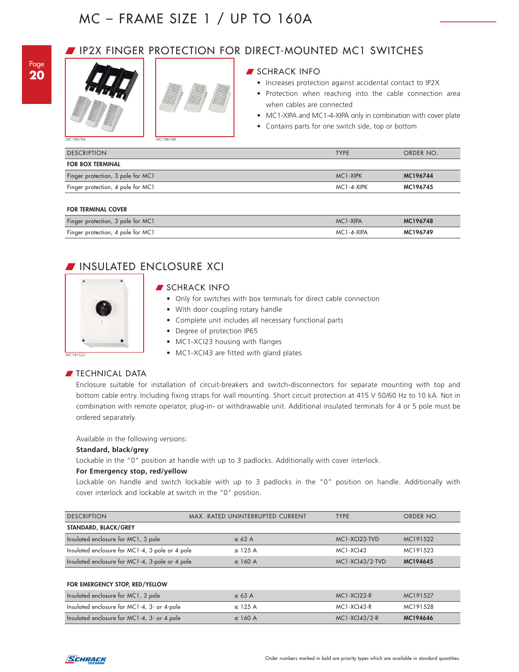### Page **20**



### W IP2X FINGER PROTECTION FOR DIRECT-MOUNTED MC1 SWITCHES

#### SCHRACK INFO

- Increases protection against accidental contact to IP2X
- Protection when reaching into the cable connection area when cables are connected
- MC1-XIPA and MC1-4-XIPA only in combination with cover plate
- Contains parts for one switch side, top or bottom

*MC196744 MC196748*

| <b>DESCRIPTION</b>                | <b>TYPE</b> | ORDER NO. |
|-----------------------------------|-------------|-----------|
| <b>FOR BOX TERMINAL</b>           |             |           |
| Finger protection, 3 pole for MC1 | MC1-XIPK    | MC196744  |
| Finger protection, 4 pole for MC1 | MC1-4-XIPK  | MC196745  |
|                                   |             |           |

#### **FOR TERMINAL COVER**

| Finger protection, 3 pole for MC1 | MC1-XIPA   | MC196748 |
|-----------------------------------|------------|----------|
| Finger protection, 4 pole for MC1 | MC1-4-XIPA | MC196749 |

### W INSULATED ENCLOSURE XCI



#### **SCHRACK INFO**

- Only for switches with box terminals for direct cable connection
- With door coupling rotary handle
- Complete unit includes all necessary functional parts
- Degree of protection IP65
- MC1-XCI23 housing with flanges
- MC1-XCI43 are fitted with gland plates

#### **FECHNICAL DATA**

Enclosure suitable for installation of circuit-breakers and switch-disconnectors for separate mounting with top and bottom cable entry. Including fixing straps for wall mounting. Short circuit protection at 415 V 50/60 Hz to 10 kA. Not in combination with remote operator, plug-in- or withdrawable unit. Additional insulated terminals for 4 or 5 pole must be ordered separately.

Available in the following versions:

#### **Standard, black/grey**

Lockable in the "0" position at handle with up to 3 padlocks. Additionally with cover interlock.

#### **For Emergency stop, red/yellow**

Lockable on handle and switch lockable with up to 3 padlocks in the "0" position on handle. Additionally with cover interlock and lockable at switch in the "0" position.

| <b>DESCRIPTION</b>                              | MAX. RATED UNINTERRUPTED CURRENT | <b>TYPE</b>     | ORDER NO. |
|-------------------------------------------------|----------------------------------|-----------------|-----------|
| STANDARD, BLACK/GREY                            |                                  |                 |           |
| Insulated enclosure for MC1, 3 pole             | $\leq 63$ A                      | MC1-XCI23-TVD   | MC191522  |
| Insulated enclosure for MC1-4, 3-pole or 4 pole | $\leq$ 125 A                     | $MC1-XC143$     | MC191523  |
| Insulated enclosure for MC1-4, 3-pole or 4 pole | $\leq$ 160 A                     | MC1-XCI43/2-TVD | MC194645  |

#### **FOR EMERGENCY STOP, RED/YELLOW**

| Insulated enclosure for MC1, 3 pole         | $\leq 63$ A  | $MC1-XCI23-R$   | MC191527 |
|---------------------------------------------|--------------|-----------------|----------|
| Insulated enclosure for MC1-4, 3- or 4-pole | $\leq$ 125 A | MC1-XCI43-R     | MC191528 |
| Insulated enclosure for MC1-4, 3- or 4 pole | $\leq$ 160 A | $MC1-XCl43/2-R$ | MC194646 |

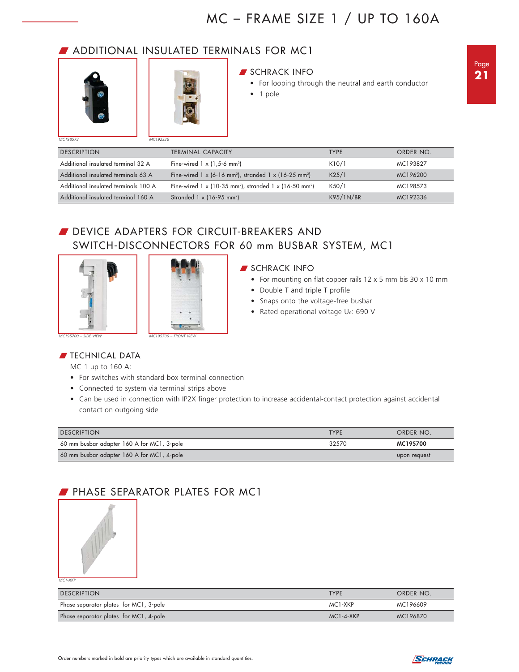### **J** ADDITIONAL INSULATED TERMINALS FOR MC1





*MC192336*

#### **SCHRACK INFO**

- For looping through the neutral and earth conductor
- 1 pole

| <b>DESCRIPTION</b>                   | <b>TERMINAL CAPACITY</b>                                                              | <b>TYPE</b> | ORDER NO. |
|--------------------------------------|---------------------------------------------------------------------------------------|-------------|-----------|
| Additional insulated terminal 32 A   | Fine-wired $1 \times (1.5-6 \text{ mm}^2)$                                            | K10/1       | MC193827  |
| Additional insulated terminals 63 A  | Fine-wired $1 \times (6-16 \text{ mm}^2)$ , stranded $1 \times (16-25 \text{ mm}^2)$  | K25/1       | MC196200  |
| Additional insulated terminals 100 A | Fine-wired $1 \times (10-35 \text{ mm}^2)$ , stranded $1 \times (16-50 \text{ mm}^2)$ | K50/1       | MC198573  |
| Additional insulated terminal 160 A  | Stranded $1 \times (16-95 \text{ mm}^2)$                                              | K95/1N/BR   | MC192336  |

### DEVICE ADAPTERS FOR CIRCUIT-BREAKERS AND SWITCH-DISCONNECTORS FOR 60 mm BUSBAR SYSTEM, MC1





#### **SCHRACK INFO**

- For mounting on flat copper rails 12 x 5 mm bis 30 x 10 mm
- Double T and triple T profile
- Snaps onto the voltage-free busbar
- Rated operational voltage Ue: 690 V

#### **FIECHNICAL DATA**

MC 1 up to 160 A:

- For switches with standard box terminal connection
- Connected to system via terminal strips above
- Can be used in connection with IP2X finger protection to increase accidental-contact protection against accidental contact on outgoing side

| <b>DESCRIPTION</b>                         | <b>TYPF</b> | ORDER NO.    |
|--------------------------------------------|-------------|--------------|
| 60 mm busbar adapter 160 A for MC1, 3-pole | 32570       | MC195700     |
| 60 mm busbar adapter 160 A for MC1, 4-pole |             | upon request |

### **PHASE SEPARATOR PLATES FOR MC1**



*MC1-XKP*

| <b>DESCRIPTION</b>                     | <b>TYPE</b>     | ORDER NO. |
|----------------------------------------|-----------------|-----------|
| Phase separator plates for MC1, 3-pole | MC1-XKP         | MC196609  |
| Phase separator plates for MC1, 4-pole | $MC1 - 4 - XKP$ | MC196870  |

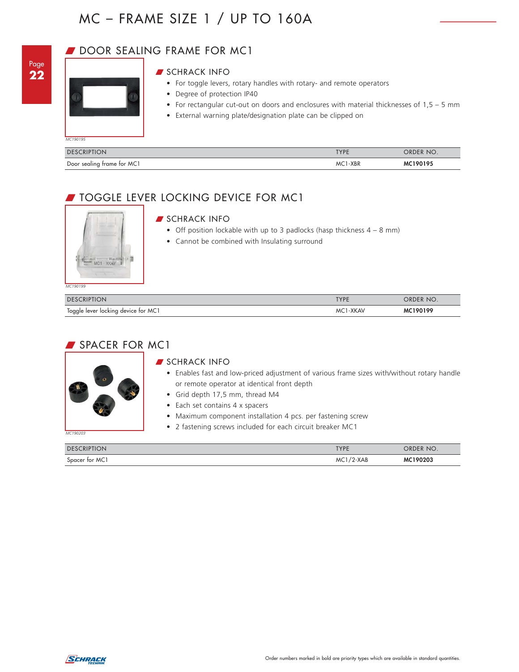### DOOR SEALING FRAME FOR MC1



*MC190195*

| SCHRACK INFO |  |
|--------------|--|
|--------------|--|

- For toggle levers, rotary handles with rotary- and remote operators
- Degree of protection IP40
- For rectangular cut-out on doors and enclosures with material thicknesses of 1,5 5 mm
- External warning plate/designation plate can be clipped on

| <b>DESCRIPTION</b>         | TVDE          | NO.<br><b>DRDER</b> |
|----------------------------|---------------|---------------------|
| Door sealing frame for MC1 | $-XBR$<br>MC. |                     |

### W TOGGLE LEVER LOCKING DEVICE FOR MC1



### **SCHRACK INFO**

- Off position lockable with up to 3 padlocks (hasp thickness  $4 8$  mm)
- Cannot be combined with Insulating surround

| <b>DESCRIPTION</b>                  | TYPE     | ORDER NO. |
|-------------------------------------|----------|-----------|
| Toggle lever locking device for MC1 | MC1-XKAV | MC190199  |

### SPACER FOR MC1



#### **SCHRACK INFO**

- Enables fast and low-priced adjustment of various frame sizes with/without rotary handle or remote operator at identical front depth
- Grid depth 17,5 mm, thread M4
- Each set contains 4 x spacers
- Maximum component installation 4 pcs. per fastening screw
- 2 fastening screws included for each circuit breaker MC1

| <b>DESCRIPTION</b> | TVDE         | NO.<br><b>DRDER</b> |
|--------------------|--------------|---------------------|
| Spacer for MC1     | ?-XAB<br>MC' | 190203<br>мс        |